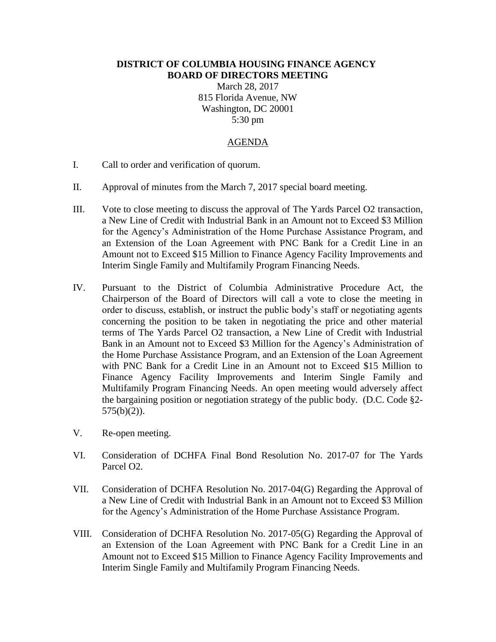## **DISTRICT OF COLUMBIA HOUSING FINANCE AGENCY BOARD OF DIRECTORS MEETING**

March 28, 2017 815 Florida Avenue, NW Washington, DC 20001 5:30 pm

## AGENDA

- I. Call to order and verification of quorum.
- II. Approval of minutes from the March 7, 2017 special board meeting.
- III. Vote to close meeting to discuss the approval of The Yards Parcel O2 transaction, a New Line of Credit with Industrial Bank in an Amount not to Exceed \$3 Million for the Agency's Administration of the Home Purchase Assistance Program, and an Extension of the Loan Agreement with PNC Bank for a Credit Line in an Amount not to Exceed \$15 Million to Finance Agency Facility Improvements and Interim Single Family and Multifamily Program Financing Needs.
- IV. Pursuant to the District of Columbia Administrative Procedure Act, the Chairperson of the Board of Directors will call a vote to close the meeting in order to discuss, establish, or instruct the public body's staff or negotiating agents concerning the position to be taken in negotiating the price and other material terms of The Yards Parcel O2 transaction, a New Line of Credit with Industrial Bank in an Amount not to Exceed \$3 Million for the Agency's Administration of the Home Purchase Assistance Program, and an Extension of the Loan Agreement with PNC Bank for a Credit Line in an Amount not to Exceed \$15 Million to Finance Agency Facility Improvements and Interim Single Family and Multifamily Program Financing Needs. An open meeting would adversely affect the bargaining position or negotiation strategy of the public body. (D.C. Code §2- 575(b)(2)).
- V. Re-open meeting.
- VI. Consideration of DCHFA Final Bond Resolution No. 2017-07 for The Yards Parcel O2.
- VII. Consideration of DCHFA Resolution No. 2017-04(G) Regarding the Approval of a New Line of Credit with Industrial Bank in an Amount not to Exceed \$3 Million for the Agency's Administration of the Home Purchase Assistance Program.
- VIII. Consideration of DCHFA Resolution No. 2017-05(G) Regarding the Approval of an Extension of the Loan Agreement with PNC Bank for a Credit Line in an Amount not to Exceed \$15 Million to Finance Agency Facility Improvements and Interim Single Family and Multifamily Program Financing Needs.